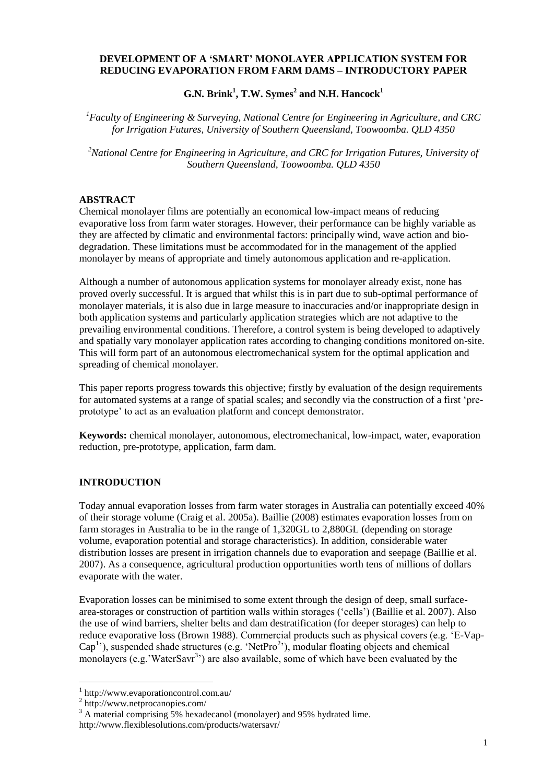#### **DEVELOPMENT OF A 'SMART' MONOLAYER APPLICATION SYSTEM FOR REDUCING EVAPORATION FROM FARM DAMS – INTRODUCTORY PAPER**

**G.N. Brink<sup>1</sup> , T.W. Symes<sup>2</sup> and N.H. Hancock<sup>1</sup>**

*<sup>1</sup>Faculty of Engineering & Surveying, National Centre for Engineering in Agriculture, and CRC for Irrigation Futures, University of Southern Queensland, Toowoomba. QLD 4350*

*<sup>2</sup>National Centre for Engineering in Agriculture, and CRC for Irrigation Futures, University of Southern Queensland, Toowoomba. QLD 4350*

### **ABSTRACT**

Chemical monolayer films are potentially an economical low-impact means of reducing evaporative loss from farm water storages. However, their performance can be highly variable as they are affected by climatic and environmental factors: principally wind, wave action and biodegradation. These limitations must be accommodated for in the management of the applied monolayer by means of appropriate and timely autonomous application and re-application.

Although a number of autonomous application systems for monolayer already exist, none has proved overly successful. It is argued that whilst this is in part due to sub-optimal performance of monolayer materials, it is also due in large measure to inaccuracies and/or inappropriate design in both application systems and particularly application strategies which are not adaptive to the prevailing environmental conditions. Therefore, a control system is being developed to adaptively and spatially vary monolayer application rates according to changing conditions monitored on-site. This will form part of an autonomous electromechanical system for the optimal application and spreading of chemical monolayer.

This paper reports progress towards this objective; firstly by evaluation of the design requirements for automated systems at a range of spatial scales; and secondly via the construction of a first "preprototype' to act as an evaluation platform and concept demonstrator.

**Keywords:** chemical monolayer, autonomous, electromechanical, low-impact, water, evaporation reduction, pre-prototype, application, farm dam.

#### **INTRODUCTION**

Today annual evaporation losses from farm water storages in Australia can potentially exceed 40% of their storage volume (Craig et al. 2005a). Baillie (2008) estimates evaporation losses from on farm storages in Australia to be in the range of 1,320GL to 2,880GL (depending on storage volume, evaporation potential and storage characteristics). In addition, considerable water distribution losses are present in irrigation channels due to evaporation and seepage (Baillie et al. 2007). As a consequence, agricultural production opportunities worth tens of millions of dollars evaporate with the water.

Evaporation losses can be minimised to some extent through the design of deep, small surfacearea-storages or construction of partition walls within storages ("cells") (Baillie et al. 2007). Also the use of wind barriers, shelter belts and dam destratification (for deeper storages) can help to reduce evaporative loss (Brown 1988). Commercial products such as physical covers (e.g. "E-Vap-Cap<sup>1</sup>'), suspended shade structures (e.g. 'NetPro<sup>2</sup>'), modular floating objects and chemical monolayers (e.g. 'WaterSavr<sup>3</sup>') are also available, some of which have been evaluated by the

1

<sup>1</sup> http://www.evaporationcontrol.com.au/

<sup>2</sup> http://www.netprocanopies.com/

 $3 \text{ A material comprising } 5\%$  hexadecanol (monolayer) and 95% hydrated lime.

http://www.flexiblesolutions.com/products/watersavr/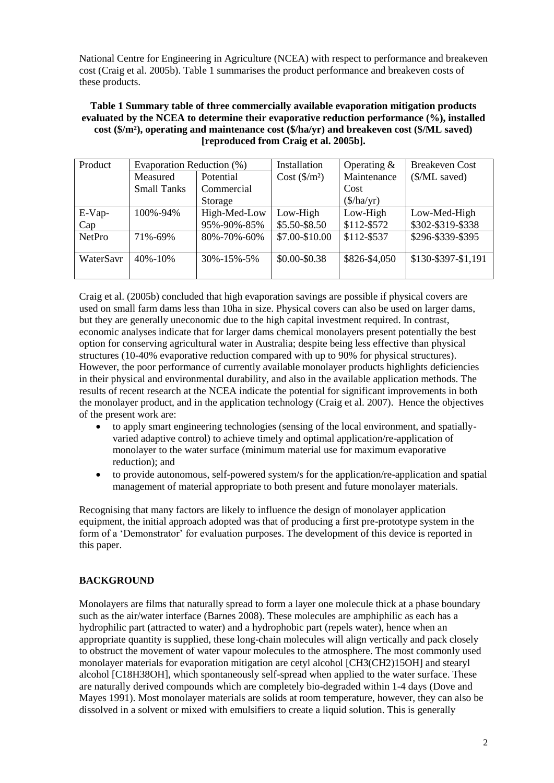National Centre for Engineering in Agriculture (NCEA) with respect to performance and breakeven cost (Craig et al. 2005b). Table 1 summarises the product performance and breakeven costs of these products.

**Table 1 Summary table of three commercially available evaporation mitigation products evaluated by the NCEA to determine their evaporative reduction performance (%), installed cost (\$/m²), operating and maintenance cost (\$/ha/yr) and breakeven cost (\$/ML saved) [reproduced from Craig et al. 2005b].**

| Product       | Evaporation Reduction (%) |                     | Installation           | Operating $&$ | <b>Breakeven Cost</b> |
|---------------|---------------------------|---------------------|------------------------|---------------|-----------------------|
|               | Measured                  | Potential           | $Cost ($\text{/}m^2$)$ | Maintenance   | (\$/ML saved)         |
|               | <b>Small Tanks</b>        | Commercial          |                        | Cost          |                       |
|               |                           | Storage             |                        | (\$/ha/yr)    |                       |
| $E-Vap-$      | 100%-94%                  | High-Med-Low        | Low-High               | Low-High      | Low-Med-High          |
| Cap           |                           | 95%-90%-85%         | \$5.50-\$8.50          | \$112-\$572   | \$302-\$319-\$338     |
| <b>NetPro</b> | 71%-69%                   | 80%-70%-60%         | \$7.00-\$10.00         | \$112-\$537   | \$296-\$339-\$395     |
| WaterSavr     | $40\% - 10\%$             | $30\% - 15\% - 5\%$ | \$0.00-\$0.38          | \$826-\$4,050 | \$130-\$397-\$1,191   |

Craig et al. (2005b) concluded that high evaporation savings are possible if physical covers are used on small farm dams less than 10ha in size. Physical covers can also be used on larger dams, but they are generally uneconomic due to the high capital investment required. In contrast, economic analyses indicate that for larger dams chemical monolayers present potentially the best option for conserving agricultural water in Australia; despite being less effective than physical structures (10-40% evaporative reduction compared with up to 90% for physical structures). However, the poor performance of currently available monolayer products highlights deficiencies in their physical and environmental durability, and also in the available application methods. The results of recent research at the NCEA indicate the potential for significant improvements in both the monolayer product, and in the application technology (Craig et al. 2007). Hence the objectives of the present work are:

- to apply smart engineering technologies (sensing of the local environment, and spatiallyvaried adaptive control) to achieve timely and optimal application/re-application of monolayer to the water surface (minimum material use for maximum evaporative reduction); and
- to provide autonomous, self-powered system/s for the application/re-application and spatial management of material appropriate to both present and future monolayer materials.

Recognising that many factors are likely to influence the design of monolayer application equipment, the initial approach adopted was that of producing a first pre-prototype system in the form of a 'Demonstrator' for evaluation purposes. The development of this device is reported in this paper.

## **BACKGROUND**

Monolayers are films that naturally spread to form a layer one molecule thick at a phase boundary such as the air/water interface (Barnes 2008). These molecules are amphiphilic as each has a hydrophilic part (attracted to water) and a hydrophobic part (repels water), hence when an appropriate quantity is supplied, these long-chain molecules will align vertically and pack closely to obstruct the movement of water vapour molecules to the atmosphere. The most commonly used monolayer materials for evaporation mitigation are cetyl alcohol [CH3(CH2)15OH] and stearyl alcohol [C18H38OH], which spontaneously self-spread when applied to the water surface. These are naturally derived compounds which are completely bio-degraded within 1-4 days (Dove and Mayes 1991). Most monolayer materials are solids at room temperature, however, they can also be dissolved in a solvent or mixed with emulsifiers to create a liquid solution. This is generally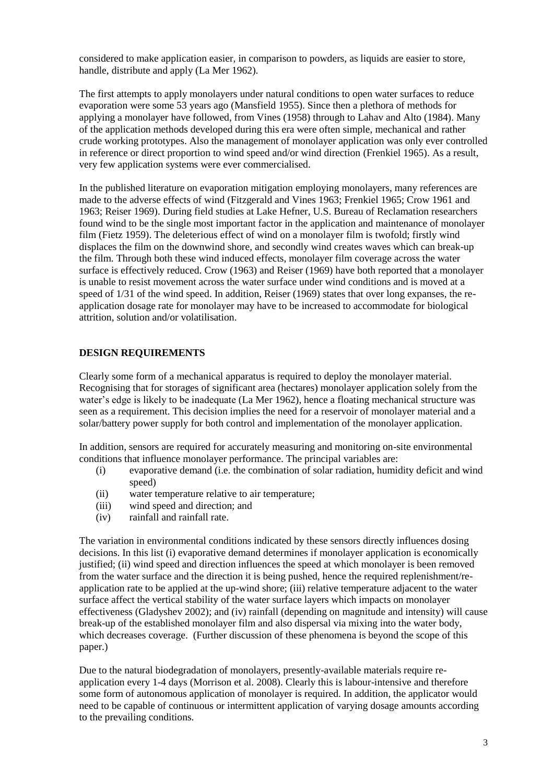considered to make application easier, in comparison to powders, as liquids are easier to store, handle, distribute and apply (La Mer 1962).

The first attempts to apply monolayers under natural conditions to open water surfaces to reduce evaporation were some 53 years ago (Mansfield 1955). Since then a plethora of methods for applying a monolayer have followed, from Vines (1958) through to Lahav and Alto (1984). Many of the application methods developed during this era were often simple, mechanical and rather crude working prototypes. Also the management of monolayer application was only ever controlled in reference or direct proportion to wind speed and/or wind direction (Frenkiel 1965). As a result, very few application systems were ever commercialised.

In the published literature on evaporation mitigation employing monolayers, many references are made to the adverse effects of wind (Fitzgerald and Vines 1963; Frenkiel 1965; Crow 1961 and 1963; Reiser 1969). During field studies at Lake Hefner, U.S. Bureau of Reclamation researchers found wind to be the single most important factor in the application and maintenance of monolayer film (Fietz 1959). The deleterious effect of wind on a monolayer film is twofold; firstly wind displaces the film on the downwind shore, and secondly wind creates waves which can break-up the film. Through both these wind induced effects, monolayer film coverage across the water surface is effectively reduced. Crow (1963) and Reiser (1969) have both reported that a monolayer is unable to resist movement across the water surface under wind conditions and is moved at a speed of 1/31 of the wind speed. In addition, Reiser (1969) states that over long expanses, the reapplication dosage rate for monolayer may have to be increased to accommodate for biological attrition, solution and/or volatilisation.

## **DESIGN REQUIREMENTS**

Clearly some form of a mechanical apparatus is required to deploy the monolayer material. Recognising that for storages of significant area (hectares) monolayer application solely from the water's edge is likely to be inadequate (La Mer 1962), hence a floating mechanical structure was seen as a requirement. This decision implies the need for a reservoir of monolayer material and a solar/battery power supply for both control and implementation of the monolayer application.

In addition, sensors are required for accurately measuring and monitoring on-site environmental conditions that influence monolayer performance. The principal variables are:

- (i) evaporative demand (i.e. the combination of solar radiation, humidity deficit and wind speed)
- (ii) water temperature relative to air temperature;
- (iii) wind speed and direction; and
- (iv) rainfall and rainfall rate.

The variation in environmental conditions indicated by these sensors directly influences dosing decisions. In this list (i) evaporative demand determines if monolayer application is economically justified; (ii) wind speed and direction influences the speed at which monolayer is been removed from the water surface and the direction it is being pushed, hence the required replenishment/reapplication rate to be applied at the up-wind shore; (iii) relative temperature adjacent to the water surface affect the vertical stability of the water surface layers which impacts on monolayer effectiveness (Gladyshev 2002); and (iv) rainfall (depending on magnitude and intensity) will cause break-up of the established monolayer film and also dispersal via mixing into the water body, which decreases coverage. (Further discussion of these phenomena is beyond the scope of this paper.)

Due to the natural biodegradation of monolayers, presently-available materials require reapplication every 1-4 days (Morrison et al. 2008). Clearly this is labour-intensive and therefore some form of autonomous application of monolayer is required. In addition, the applicator would need to be capable of continuous or intermittent application of varying dosage amounts according to the prevailing conditions.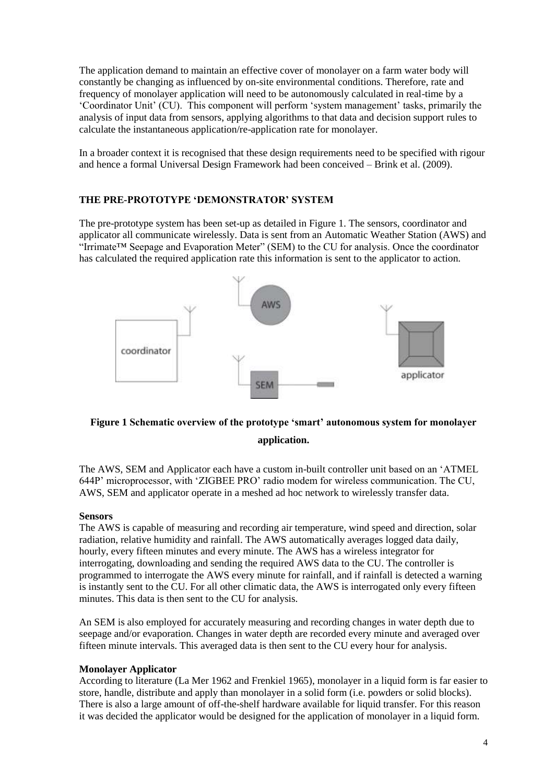The application demand to maintain an effective cover of monolayer on a farm water body will constantly be changing as influenced by on-site environmental conditions. Therefore, rate and frequency of monolayer application will need to be autonomously calculated in real-time by a "Coordinator Unit" (CU). This component will perform "system management" tasks, primarily the analysis of input data from sensors, applying algorithms to that data and decision support rules to calculate the instantaneous application/re-application rate for monolayer.

In a broader context it is recognised that these design requirements need to be specified with rigour and hence a formal Universal Design Framework had been conceived – Brink et al. (2009).

## **THE PRE-PROTOTYPE 'DEMONSTRATOR' SYSTEM**

The pre-prototype system has been set-up as detailed in Figure 1. The sensors, coordinator and applicator all communicate wirelessly. Data is sent from an Automatic Weather Station (AWS) and "Irrimate™ Seepage and Evaporation Meter" (SEM) to the CU for analysis. Once the coordinator has calculated the required application rate this information is sent to the applicator to action.



# **Figure 1 Schematic overview of the prototype 'smart' autonomous system for monolayer application.**

The AWS, SEM and Applicator each have a custom in-built controller unit based on an "ATMEL 644P" microprocessor, with "ZIGBEE PRO" radio modem for wireless communication. The CU, AWS, SEM and applicator operate in a meshed ad hoc network to wirelessly transfer data.

#### **Sensors**

The AWS is capable of measuring and recording air temperature, wind speed and direction, solar radiation, relative humidity and rainfall. The AWS automatically averages logged data daily, hourly, every fifteen minutes and every minute. The AWS has a wireless integrator for interrogating, downloading and sending the required AWS data to the CU. The controller is programmed to interrogate the AWS every minute for rainfall, and if rainfall is detected a warning is instantly sent to the CU. For all other climatic data, the AWS is interrogated only every fifteen minutes. This data is then sent to the CU for analysis.

An SEM is also employed for accurately measuring and recording changes in water depth due to seepage and/or evaporation. Changes in water depth are recorded every minute and averaged over fifteen minute intervals. This averaged data is then sent to the CU every hour for analysis.

#### **Monolayer Applicator**

According to literature (La Mer 1962 and Frenkiel 1965), monolayer in a liquid form is far easier to store, handle, distribute and apply than monolayer in a solid form (i.e. powders or solid blocks). There is also a large amount of off-the-shelf hardware available for liquid transfer. For this reason it was decided the applicator would be designed for the application of monolayer in a liquid form.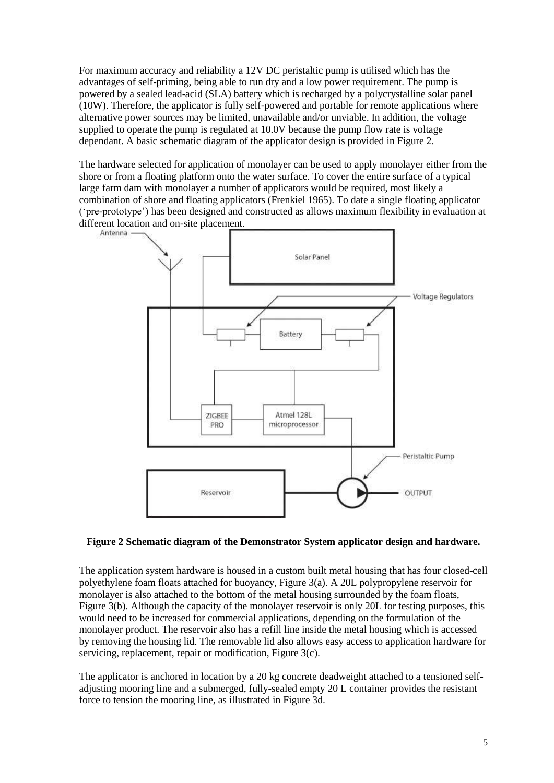For maximum accuracy and reliability a 12V DC peristaltic pump is utilised which has the advantages of self-priming, being able to run dry and a low power requirement. The pump is powered by a sealed lead-acid (SLA) battery which is recharged by a polycrystalline solar panel (10W). Therefore, the applicator is fully self-powered and portable for remote applications where alternative power sources may be limited, unavailable and/or unviable. In addition, the voltage supplied to operate the pump is regulated at 10.0V because the pump flow rate is voltage dependant. A basic schematic diagram of the applicator design is provided in Figure 2.

The hardware selected for application of monolayer can be used to apply monolayer either from the shore or from a floating platform onto the water surface. To cover the entire surface of a typical large farm dam with monolayer a number of applicators would be required, most likely a combination of shore and floating applicators (Frenkiel 1965). To date a single floating applicator ("pre-prototype") has been designed and constructed as allows maximum flexibility in evaluation at different location and on-site placement.



## **Figure 2 Schematic diagram of the Demonstrator System applicator design and hardware.**

The application system hardware is housed in a custom built metal housing that has four closed-cell polyethylene foam floats attached for buoyancy, Figure 3(a). A 20L polypropylene reservoir for monolayer is also attached to the bottom of the metal housing surrounded by the foam floats, Figure 3(b). Although the capacity of the monolayer reservoir is only 20L for testing purposes, this would need to be increased for commercial applications, depending on the formulation of the monolayer product. The reservoir also has a refill line inside the metal housing which is accessed by removing the housing lid. The removable lid also allows easy access to application hardware for servicing, replacement, repair or modification, Figure 3(c).

The applicator is anchored in location by a 20 kg concrete deadweight attached to a tensioned selfadjusting mooring line and a submerged, fully-sealed empty 20 L container provides the resistant force to tension the mooring line, as illustrated in Figure 3d.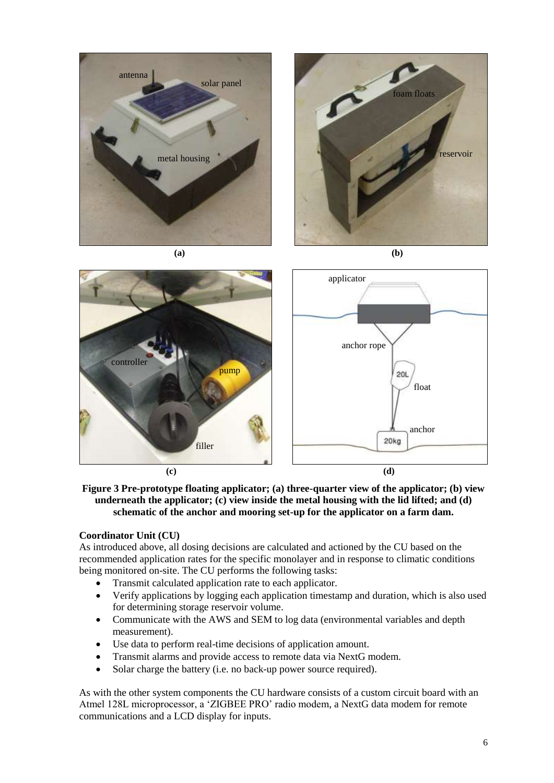

**(c) (d)**

**Figure 3 Pre-prototype floating applicator; (a) three-quarter view of the applicator; (b) view underneath the applicator; (c) view inside the metal housing with the lid lifted; and (d) schematic of the anchor and mooring set-up for the applicator on a farm dam.**

## **Coordinator Unit (CU)**

As introduced above, all dosing decisions are calculated and actioned by the CU based on the recommended application rates for the specific monolayer and in response to climatic conditions being monitored on-site. The CU performs the following tasks:

- Transmit calculated application rate to each applicator.
- Verify applications by logging each application timestamp and duration, which is also used for determining storage reservoir volume.
- Communicate with the AWS and SEM to log data (environmental variables and depth measurement).
- Use data to perform real-time decisions of application amount.
- Transmit alarms and provide access to remote data via NextG modem.
- Solar charge the battery (i.e. no back-up power source required).

As with the other system components the CU hardware consists of a custom circuit board with an Atmel 128L microprocessor, a "ZIGBEE PRO" radio modem, a NextG data modem for remote communications and a LCD display for inputs.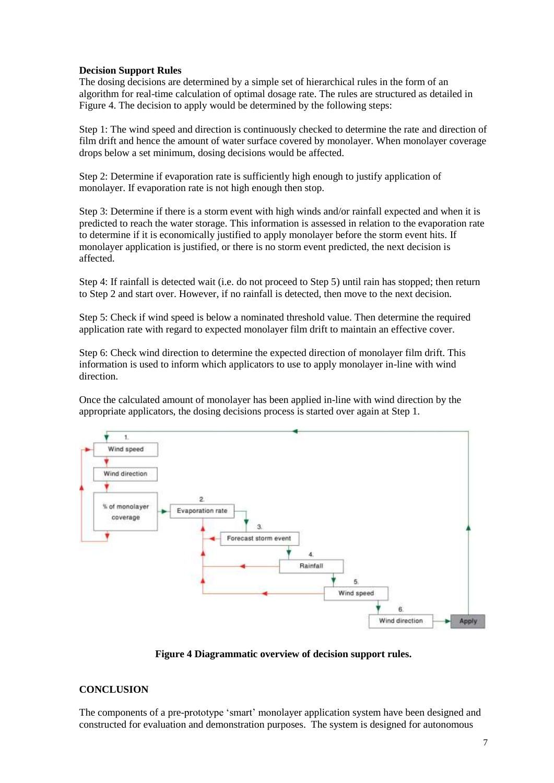#### **Decision Support Rules**

The dosing decisions are determined by a simple set of hierarchical rules in the form of an algorithm for real-time calculation of optimal dosage rate. The rules are structured as detailed in Figure 4. The decision to apply would be determined by the following steps:

Step 1: The wind speed and direction is continuously checked to determine the rate and direction of film drift and hence the amount of water surface covered by monolayer. When monolayer coverage drops below a set minimum, dosing decisions would be affected.

Step 2: Determine if evaporation rate is sufficiently high enough to justify application of monolayer. If evaporation rate is not high enough then stop.

Step 3: Determine if there is a storm event with high winds and/or rainfall expected and when it is predicted to reach the water storage. This information is assessed in relation to the evaporation rate to determine if it is economically justified to apply monolayer before the storm event hits. If monolayer application is justified, or there is no storm event predicted, the next decision is affected.

Step 4: If rainfall is detected wait (i.e. do not proceed to Step 5) until rain has stopped; then return to Step 2 and start over. However, if no rainfall is detected, then move to the next decision.

Step 5: Check if wind speed is below a nominated threshold value. Then determine the required application rate with regard to expected monolayer film drift to maintain an effective cover.

Step 6: Check wind direction to determine the expected direction of monolayer film drift. This information is used to inform which applicators to use to apply monolayer in-line with wind direction.

Once the calculated amount of monolayer has been applied in-line with wind direction by the appropriate applicators, the dosing decisions process is started over again at Step 1.



**Figure 4 Diagrammatic overview of decision support rules.**

#### **CONCLUSION**

The components of a pre-prototype "smart" monolayer application system have been designed and constructed for evaluation and demonstration purposes. The system is designed for autonomous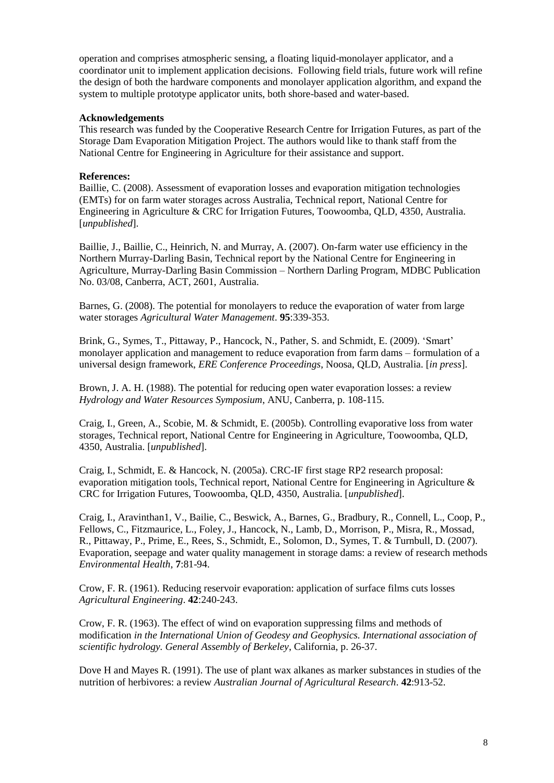operation and comprises atmospheric sensing, a floating liquid-monolayer applicator, and a coordinator unit to implement application decisions. Following field trials, future work will refine the design of both the hardware components and monolayer application algorithm, and expand the system to multiple prototype applicator units, both shore-based and water-based.

#### **Acknowledgements**

This research was funded by the Cooperative Research Centre for Irrigation Futures, as part of the Storage Dam Evaporation Mitigation Project. The authors would like to thank staff from the National Centre for Engineering in Agriculture for their assistance and support.

#### **References:**

Baillie, C. (2008). Assessment of evaporation losses and evaporation mitigation technologies (EMTs) for on farm water storages across Australia, Technical report, National Centre for Engineering in Agriculture & CRC for Irrigation Futures, Toowoomba, QLD, 4350, Australia. [*unpublished*].

Baillie, J., Baillie, C., Heinrich, N. and Murray, A. (2007). On-farm water use efficiency in the Northern Murray-Darling Basin, Technical report by the National Centre for Engineering in Agriculture, Murray-Darling Basin Commission – Northern Darling Program, MDBC Publication No. 03/08, Canberra, ACT, 2601, Australia.

Barnes, G. (2008). The potential for monolayers to reduce the evaporation of water from large water storages *Agricultural Water Management*. **95**:339-353.

Brink, G., Symes, T., Pittaway, P., Hancock, N., Pather, S. and Schmidt, E. (2009). "Smart" monolayer application and management to reduce evaporation from farm dams – formulation of a universal design framework, *ERE Conference Proceedings*, Noosa, QLD, Australia. [*in press*].

Brown, J. A. H. (1988). The potential for reducing open water evaporation losses: a review *Hydrology and Water Resources Symposium*, ANU, Canberra, p. 108-115.

Craig, I., Green, A., Scobie, M. & Schmidt, E. (2005b). Controlling evaporative loss from water storages, Technical report, National Centre for Engineering in Agriculture, Toowoomba, QLD, 4350, Australia. [*unpublished*].

Craig, I., Schmidt, E. & Hancock, N. (2005a). CRC-IF first stage RP2 research proposal: evaporation mitigation tools, Technical report, National Centre for Engineering in Agriculture & CRC for Irrigation Futures, Toowoomba, QLD, 4350, Australia. [*unpublished*].

Craig, I., Aravinthan1, V., Bailie, C., Beswick, A., Barnes, G., Bradbury, R., Connell, L., Coop, P., Fellows, C., Fitzmaurice, L., Foley, J., Hancock, N., Lamb, D., Morrison, P., Misra, R., Mossad, R., Pittaway, P., Prime, E., Rees, S., Schmidt, E., Solomon, D., Symes, T. & Turnbull, D. (2007). Evaporation, seepage and water quality management in storage dams: a review of research methods *Environmental Health*, **7**:81-94.

Crow, F. R. (1961). Reducing reservoir evaporation: application of surface films cuts losses *Agricultural Engineering*. **42**:240-243.

Crow, F. R. (1963). The effect of wind on evaporation suppressing films and methods of modification *in the International Union of Geodesy and Geophysics. International association of scientific hydrology. General Assembly of Berkeley*, California, p. 26-37.

Dove H and Mayes R. (1991). The use of plant wax alkanes as marker substances in studies of the nutrition of herbivores: a review *Australian Journal of Agricultural Research*. **42**:913-52.